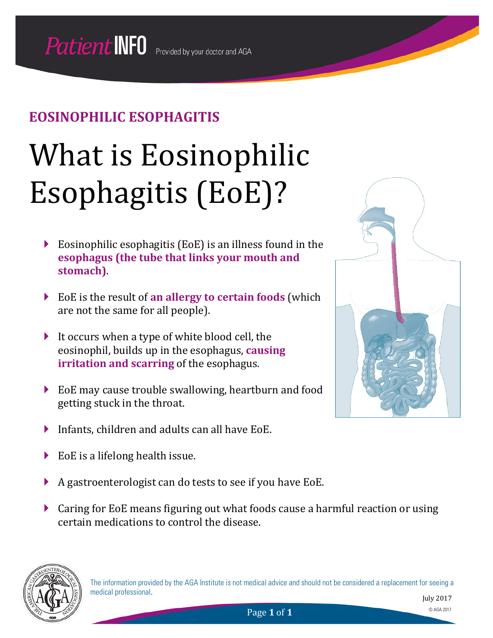## **EOSINOPHILIC ESOPHAGITIS**

# What is Eosinophilic Esophagitis (EoE)?

- Eosinophilic esophagitis (EoE) is an illness found in the **esophagus (the tube that links your mouth and stomach)**.
- EoE is the result of **an allergy to certain foods** (which are not the same for all people).
- It occurs when a type of white blood cell, the eosinophil, builds up in the esophagus, **causing irritation and scarring** of the esophagus.
- EoE may cause trouble swallowing, heartburn and food getting stuck in the throat.
- Infants, children and adults can all have EoE.
- EoE is a lifelong health issue.
- A gastroenterologist can do tests to see if you have EoE.
- Caring for EoE means figuring out what foods cause a harmful reaction or using certain medications to control the disease.



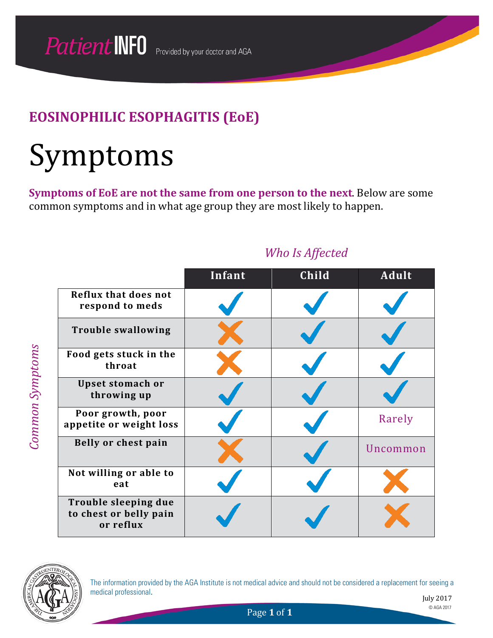## Symptoms

**Symptoms of EoE are not the same from one person to the next**. Below are some common symptoms and in what age group they are most likely to happen.

|                                                             | Infant | Child | <b>Adult</b> |
|-------------------------------------------------------------|--------|-------|--------------|
| <b>Reflux that does not</b><br>respond to meds              |        |       |              |
| <b>Trouble swallowing</b>                                   |        |       |              |
| Food gets stuck in the<br>throat                            |        |       |              |
| Upset stomach or<br>throwing up                             |        |       |              |
| Poor growth, poor<br>appetite or weight loss                |        |       | Rarely       |
| Belly or chest pain                                         |        |       | Uncommon     |
| Not willing or able to<br>eat                               |        |       |              |
| Trouble sleeping due<br>to chest or belly pain<br>or reflux |        |       |              |

#### *Who Is Affected*



*Common Symptoms*

**Common Symptoms** 

The information provided by the AGA Institute is not medical advice and should not be considered a replacement for seeing a medical professional.

July 2017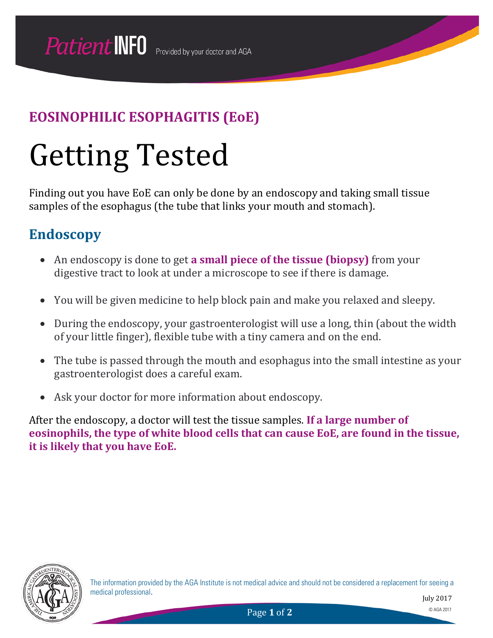## Getting Tested

Finding out you have EoE can only be done by an endoscopy and taking small tissue samples of the esophagus (the tube that links your mouth and stomach).

## **Endoscopy**

- An endoscopy is done to get **a small piece of the tissue (biopsy)** from your digestive tract to look at under a microscope to see if there is damage.
- You will be given medicine to help block pain and make you relaxed and sleepy.
- During the endoscopy, your gastroenterologist will use a long, thin (about the width of your little finger), flexible tube with a tiny camera and on the end.
- The tube is passed through the mouth and esophagus into the small intestine as your gastroenterologist does a careful exam.
- Ask your doctor for more information about endoscopy.

After the endoscopy, a doctor will test the tissue samples. **If a large number of eosinophils, the type of white blood cells that can cause EoE, are found in the tissue, it is likely that you have EoE.**

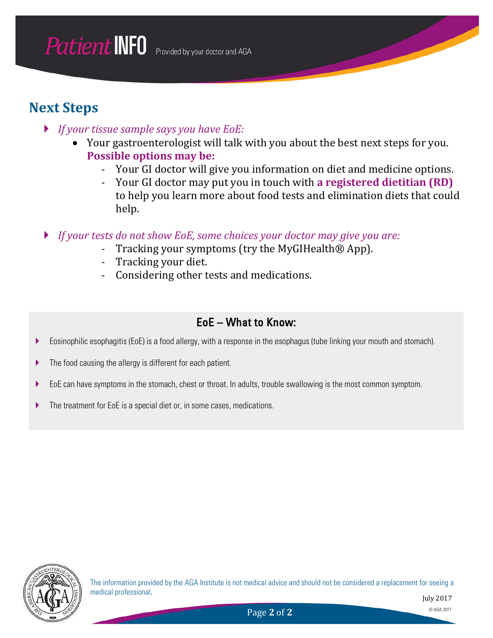### **Next Steps**

- *If your tissue sample says you have EoE:*
	- Your gastroenterologist will talk with you about the best next steps for you. **Possible options may be:**
		- Your GI doctor will give you information on diet and medicine options.<br>- Your GI doctor may put you in touch with **a registered dietitian (RD)**
		- Your GI doctor may put you in touch with **a registered dietitian (RD)** to help you learn more about food tests and elimination diets that could help.
- *If your tests do not show EoE, some choices your doctor may give you are:*
	- Tracking your symptoms (try the MyGIHealth® App).<br>- Tracking your diet.
	- Tracking your diet.
	- Considering other tests and medications.

#### EoE – What to Know:

- Eosinophilic esophagitis (EoE) is a food allergy, with a response in the esophagus (tube linking your mouth and stomach).
- ▶ The food causing the allergy is different for each patient.
- EoE can have symptoms in the stomach, chest or throat. In adults, trouble swallowing is the most common symptom.
- The treatment for EoE is a special diet or, in some cases, medications.

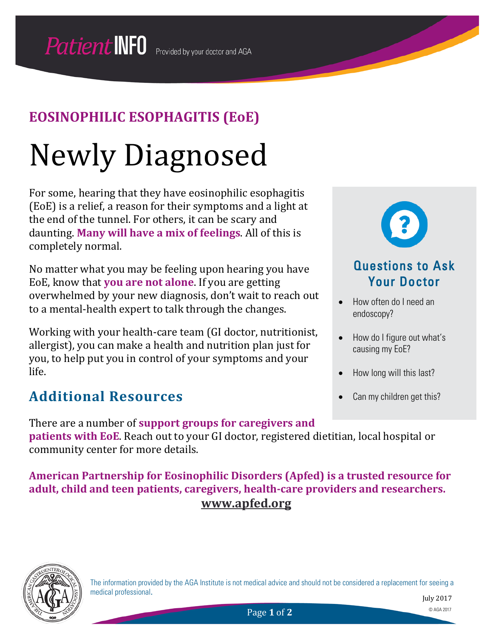# Newly Diagnosed

For some, hearing that they have eosinophilic esophagitis (EoE) is a relief, a reason for their symptoms and a light at the end of the tunnel. For others, it can be scary and daunting. **Many will have a mix of feelings**. All of this is completely normal.

No matter what you may be feeling upon hearing you have EoE, know that **you are not alone**. If you are getting overwhelmed by your new diagnosis, don't wait to reach out to a mental-health expert to talk through the changes.

Working with your health-care team (GI doctor, nutritionist, allergist), you can make a health and nutrition plan just for you, to help put you in control of your symptoms and your life.

## **Additional Resources**

There are a number of **support groups for caregivers and patients with EoE**. Reach out to your GI doctor, registered dietitian, local hospital or community center for more details.

**American Partnership for Eosinophilic Disorders (Apfed) is a trusted resource for adult, child and teen patients, caregivers, health-care providers and researchers. [www.apfed.org](http://www.apfed.org/)**



The information provided by the AGA Institute is not medical advice and should not be considered a replacement for seeing a medical professional.



#### Questions to Ask Your Doctor

- How often do I need an endoscopy?
- How do I figure out what's causing my EoE?
- How long will this last?
- Can my children get this?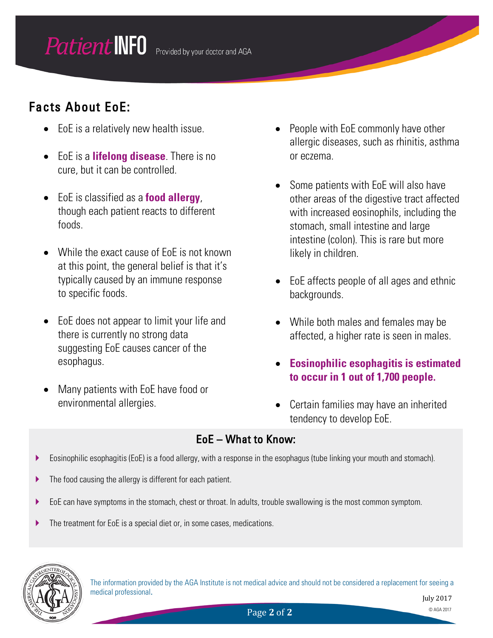#### **Patient INFO** Provided by your doctor and AGA

## Facts About EoE:

- EoE is a relatively new health issue.
- EoE is a **lifelong disease**. There is no cure, but it can be controlled.
- EoE is classified as a **food allergy**, though each patient reacts to different foods.
- While the exact cause of EoE is not known at this point, the general belief is that it's typically caused by an immune response to specific foods.
- EoE does not appear to limit your life and there is currently no strong data suggesting EoE causes cancer of the esophagus.
- Many patients with EoE have food or environmental allergies.
- People with EoE commonly have other allergic diseases, such as rhinitis, asthma or eczema.
- Some patients with EoE will also have other areas of the digestive tract affected with increased eosinophils, including the stomach, small intestine and large intestine (colon). This is rare but more likely in children.
- EoE affects people of all ages and ethnic backgrounds.
- While both males and females may be affected, a higher rate is seen in males.
- **Eosinophilic esophagitis is estimated to occur in 1 out of 1,700 people.**
- Certain families may have an inherited tendency to develop EoE.

#### EoE – What to Know:

- Eosinophilic esophagitis (EoE) is a food allergy, with a response in the esophagus (tube linking your mouth and stomach).
- ▶ The food causing the allergy is different for each patient.
- EoE can have symptoms in the stomach, chest or throat. In adults, trouble swallowing is the most common symptom.
- The treatment for EoE is a special diet or, in some cases, medications.



The information provided by the AGA Institute is not medical advice and should not be considered a replacement for seeing a medical professional.

July 2017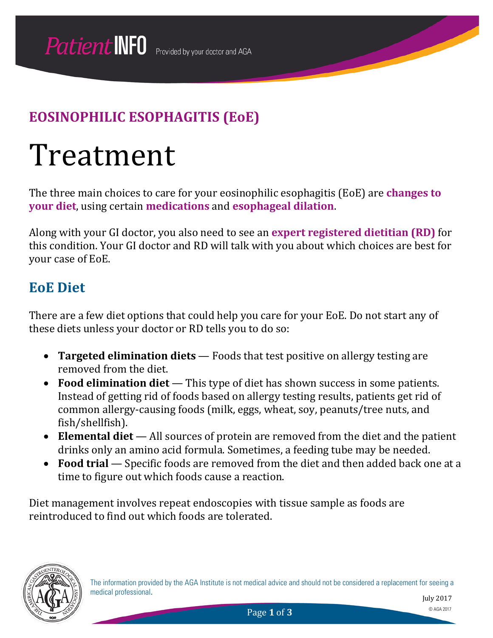## Treatment

The three main choices to care for your eosinophilic esophagitis (EoE) are **changes to your diet**, using certain **medications** and **esophageal dilation**.

Along with your GI doctor, you also need to see an **expert registered dietitian (RD)** for this condition. Your GI doctor and RD will talk with you about which choices are best for your case of EoE.

#### **EoE Diet**

There are a few diet options that could help you care for your EoE. Do not start any of these diets unless your doctor or RD tells you to do so:

- **Targeted elimination diets** Foods that test positive on allergy testing are removed from the diet.
- **Food elimination diet** This type of diet has shown success in some patients. Instead of getting rid of foods based on allergy testing results, patients get rid of common allergy-causing foods (milk, eggs, wheat, soy, peanuts/tree nuts, and fish/shellfish).
- **Elemental diet** All sources of protein are removed from the diet and the patient drinks only an amino acid formula. Sometimes, a feeding tube may be needed.
- **Food trial** Specific foods are removed from the diet and then added back one at a time to figure out which foods cause a reaction.

Diet management involves repeat endoscopies with tissue sample as foods are reintroduced to find out which foods are tolerated.



July 2017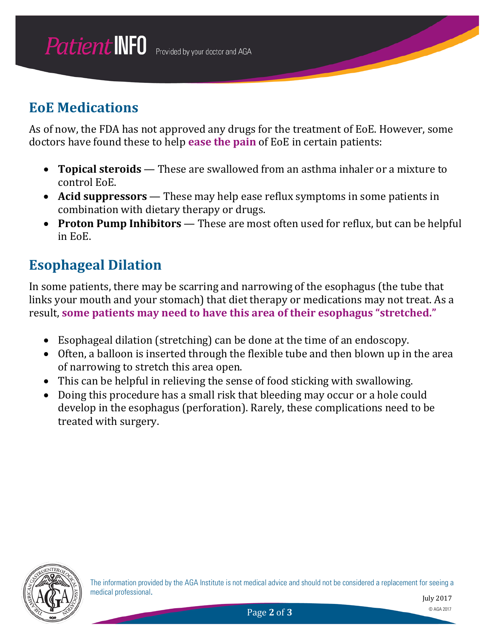## **EoE Medications**

As of now, the FDA has not approved any drugs for the treatment of EoE. However, some doctors have found these to help **ease the pain** of EoE in certain patients:

- **Topical steroids** These are swallowed from an asthma inhaler or a mixture to control EoE.
- **Acid suppressors** These may help ease reflux symptoms in some patients in combination with dietary therapy or drugs.
- **Proton Pump Inhibitors** These are most often used for reflux, but can be helpful in EoE.

## **Esophageal Dilation**

In some patients, there may be scarring and narrowing of the esophagus (the tube that links your mouth and your stomach) that diet therapy or medications may not treat. As a result, **some patients may need to have this area of their esophagus "stretched."**

- Esophageal dilation (stretching) can be done at the time of an endoscopy.
- Often, a balloon is inserted through the flexible tube and then blown up in the area of narrowing to stretch this area open.
- This can be helpful in relieving the sense of food sticking with swallowing.
- Doing this procedure has a small risk that bleeding may occur or a hole could develop in the esophagus (perforation). Rarely, these complications need to be treated with surgery.

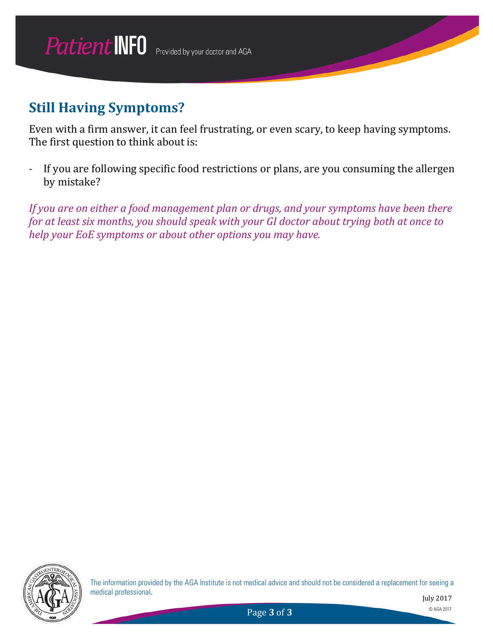## **Still Having Symptoms?**

Even with a firm answer, it can feel frustrating, or even scary, to keep having symptoms. The first question to think about is:

- If you are following specific food restrictions or plans, are you consuming the allergen by mistake?

*If you are on either a food management plan or drugs, and your symptoms have been there for at least six months, you should speak with your GI doctor about trying both at once to help your EoE symptoms or about other options you may have.*



The information provided by the AGA Institute is not medical advice and should not be considered a replacement for seeing a medical professional.

July 2017

Page **3** of **3** © AGA 2017